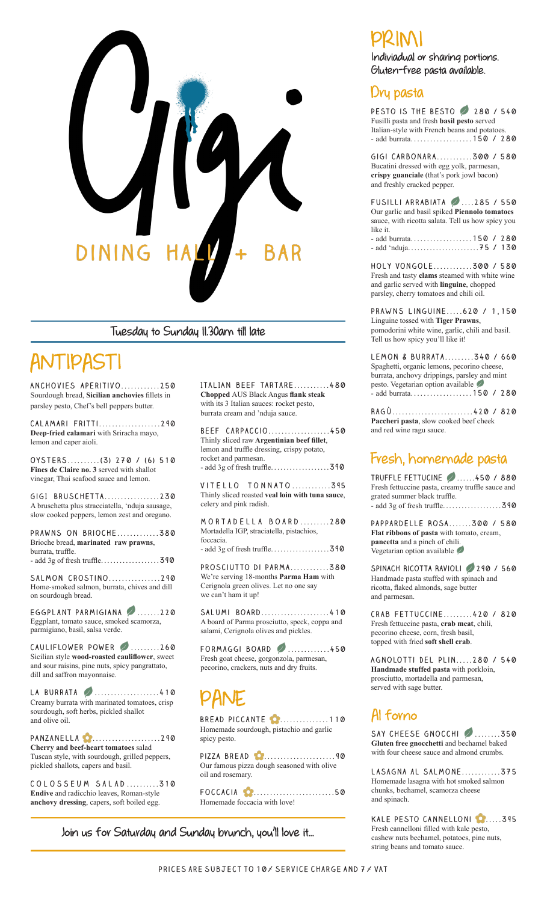**Anchovies aperitivo............250** Sourdough bread, **Sicilian anchovies** fillets in parsley pesto, Chef's bell peppers butter.

**Calamari Fritti...................290 Deep-fried calamari** with Sriracha mayo, lemon and caper aioli.

**OYSTERS..........(3) 270 / (6) 510 Fines de Claire no. 3** served with shallot vinegar, Thai seafood sauce and lemon.

**GigI Bruschetta.................230** A bruschetta plus stracciatella, 'nduja sausage, slow cooked peppers, lemon zest and oregano.

**Prawns on brioche.............380** Brioche bread, **marinated raw prawns**, burrata, truffle. - add 3g of fresh truffle**...................390**

**salmon crostino................290** Home-smoked salmon, burrata, chives and dill on sourdough bread.

**Eggplant parmigiana .......220** Eggplant, tomato sauce, smoked scamorza, parmigiano, basil, salsa verde.

**PESTO IS THE BESTO 280 / 540** Fusilli pasta and fresh **basil pesto** served Italian-style with French beans and potatoes. - add burrata**...................150 / 280**

**Cauliflower Power .........260** Sicilian style **wood-roasted cauliflower**, sweet and sour raisins, pine nuts, spicy pangrattato, dill and saffron mayonnaise.

Creamy burrata with marinated tomatoes, crisp sourdough, soft herbs, pickled shallot and olive oil.

**Panzanella .....................290 Cherry and beef-heart tomatoes** salad Tuscan style, with sourdough, grilled peppers, pickled shallots, capers and basil.

**C O L O S S E U M s a l a d ..........310 Endive** and radicchio leaves, Roman-style **anchovy dressing**, capers, soft boiled egg.



SPINACH RICOTTA RAVIOLI 290 / 560 Handmade pasta stuffed with spinach and ricotta, flaked almonds, sage butter and parmesan.

**Gigi Carbonara...........300 / 580** Bucatini dressed with egg yolk, parmesan, **crispy guanciale** (that's pork jowl bacon) and freshly cracked pepper.

**SAY CHEESE GNOCCHI 2........350 Gluten free gnocchetti** and bechamel baked with four cheese sauce and almond crumbs.

**Fusilli Arrabiata ....285 / 550** Our garlic and basil spiked **Piennolo tomatoes** sauce, with ricotta salata. Tell us how spicy you like it. - add burrata**...................150 / 280** - add 'nduja**.......................75 / 130**

**PANE** Served with sag Homemade sourdough, pistachio and garlic spicy pesto.

**Holy Vongole............300 / 580** Fresh and tasty **clams** steamed with white wine and garlic served with **linguine**, chopped parsley, cherry tomatoes and chili oil.

**PRAWNS Linguine.....620 / 1,150** Linguine tossed with **Tiger Prawns**, pomodorini white wine, garlic, chili and basil. Tell us how spicy you'll like it!

**Lemon & burrata.........340 / 660** Spaghetti, organic lemons, pecorino cheese, burrata, anchovy drippings, parsley and mint pesto. Vegetarian option available - add burrata**...................150 / 280**

**Ragù.........................420 / 820 Paccheri pasta**, slow cooked beef cheek and red wine ragu sauce.

| TRUFFLE FETTUCINE 2450 / 880                     |  |
|--------------------------------------------------|--|
| Fresh fettuccine pasta, creamy truffle sauce and |  |
| grated summer black truffle.                     |  |
|                                                  |  |

**Pappardelle Rosa.......300 / 580 Flat ribbons of pasta** with tomato, cream, **pancetta** and a pinch of chili. Vegetarian option available

**Crab Fettuccine.........420 / 820** Fresh fettuccine pasta, **crab meat**, chili, pecorino cheese, corn, fresh basil, topped with fried **soft shell crab**.

**Agnolotti Del Plin.....280 / 540 Handmade stuffed pasta** with porkloin, prosciutto, mortadella and parmesan,

LA BURRATA 2...........................410

served with sage butter.

### **PRIMI**

**Indiviadual or sharing portions. Gluten-free pasta available.**

**Join us for Saturday and Sunday brunch, you'll love it...**

## **ANTIPASTI**

### **Dry pasta**

### **Fresh, homemade pasta**



**Tuesday to Sunday 11.30am till late**

**lasagna al Salmone............375** Homemade lasagna with hot smoked salmon chunks, bechamel, scamorza cheese and spinach.

KALE PESTO CANNELLONI **C.....395** 

Fresh cannelloni filled with kale pesto, cashew nuts bechamel, potatoes, pine nuts, string beans and tomato sauce.

**Pizza bread ......................90** Our famous pizza dough seasoned with olive oil and rosemary.

**Foccacia .........................50** Homemade foccacia with love!

**ITALIAN beef Tartare...........480 Chopped** AUS Black Angus **flank steak** with its 3 Italian sauces: rocket pesto, burrata cream and 'nduja sauce.

**Beef Carpaccio...................450** Thinly sliced raw **Argentinian beef fillet**, lemon and truffle dressing, crispy potato, rocket and parmesan. - add 3g of fresh truffle**...................390**

**V i t e llo To n n ato ............395** Thinly sliced roasted **veal loin with tuna sauce**, celery and pink radish.

**M o r t a d e ll a b o a r d .........280** Mortadella IGP, straciatella, pistachios, foccacia. - add 3g of fresh truffle**...................390**

**Prosciutto di Parma............380** We're serving 18-months **Parma Ham** with Cerignola green olives. Let no one say we can't ham it up!

**Salumi Board.....................410** A board of Parma prosciutto, speck, coppa and salami, Cerignola olives and pickles.

**formaggi board .............450** Fresh goat cheese, gorgonzola, parmesan, pecorino, crackers, nuts and dry fruits.